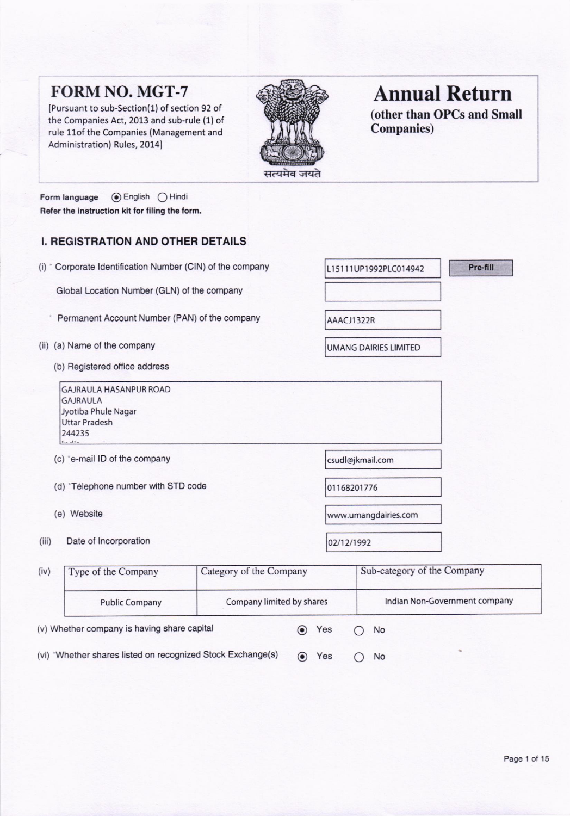# FORM NO. MGT.7

IPursuant to sub-Section(1) of section 92 of the Companies Act, 2013 and sub-rule (1) of rule 1lof the Companies (Management and Administration) Rules, 2014]



# Annual Return

(other than OPCs and Small Companies)

Pre-fill

Form language ( English  $\bigcirc$  Hindi Refer the instruction kit for filing the form.

# **I. REGISTRATION AND OTHER DETAILS**

|  |  |  | (i) * Corporate Identification Number (CIN) of the company |  |  |  |  |
|--|--|--|------------------------------------------------------------|--|--|--|--|
|--|--|--|------------------------------------------------------------|--|--|--|--|

Global Location Number (GLN) of the company

- \* Permanent Account Number (PAN) of the company
- (ii) (a) Name of the company
	- (b) Registered ofiice address

GAJRAULA HASANPUR ROAO GAJRAULA Jyotiba Phule Nagar Uttar Pradesh 244235

- (c) \*e-mail ID of the company csudl@jkmail.com
- (d) \*Telephone number with STD code 01168201776
- 
- (iii) Date of Incorporation 02/12/1992

(e) Website .umangdairies.com

L15111UP1992PLC014942

UMANG DAIRIES LIMITEO

AAACJI322R

| (iv)                                                        | Type of the Company                                | Category of the Company |  |     | Sub-category of the Company |                               |  |
|-------------------------------------------------------------|----------------------------------------------------|-------------------------|--|-----|-----------------------------|-------------------------------|--|
|                                                             | Company limited by shares<br><b>Public Company</b> |                         |  |     |                             | Indian Non-Government company |  |
|                                                             | (v) Whether company is having share capital        |                         |  | Yes |                             | <b>No</b>                     |  |
| (vi) *Whether shares listed on recognized Stock Exchange(s) |                                                    |                         |  | Yes |                             | <b>No</b>                     |  |